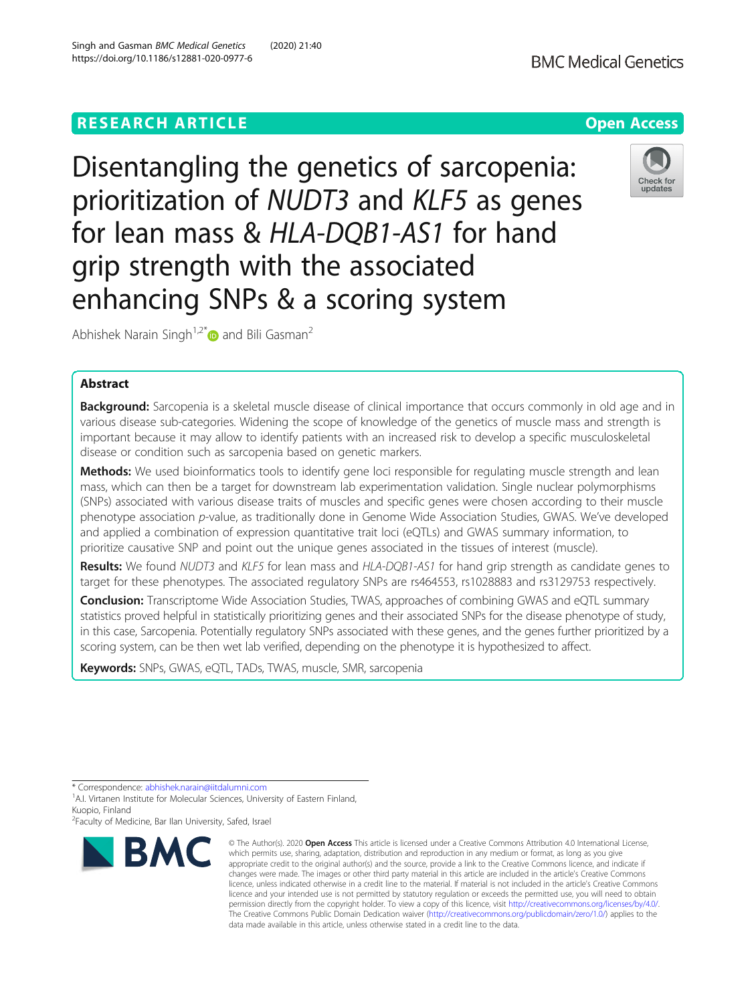# **RESEARCH ARTICLE Example 2014 12:30 The Contract of Contract ACCESS**

Disentangling the genetics of sarcopenia: prioritization of NUDT3 and KLF5 as genes for lean mass & HLA-DQB1-AS1 for hand grip strength with the associated enhancing SNPs & a scoring system

Abhishek Narain Singh<sup>1,2\*</sup> and Bili Gasman<sup>2</sup>

## Abstract

Background: Sarcopenia is a skeletal muscle disease of clinical importance that occurs commonly in old age and in various disease sub-categories. Widening the scope of knowledge of the genetics of muscle mass and strength is important because it may allow to identify patients with an increased risk to develop a specific musculoskeletal disease or condition such as sarcopenia based on genetic markers.

Methods: We used bioinformatics tools to identify gene loci responsible for regulating muscle strength and lean mass, which can then be a target for downstream lab experimentation validation. Single nuclear polymorphisms (SNPs) associated with various disease traits of muscles and specific genes were chosen according to their muscle phenotype association p-value, as traditionally done in Genome Wide Association Studies, GWAS. We've developed and applied a combination of expression quantitative trait loci (eQTLs) and GWAS summary information, to prioritize causative SNP and point out the unique genes associated in the tissues of interest (muscle).

Results: We found NUDT3 and KLF5 for lean mass and HLA-DQB1-AS1 for hand grip strength as candidate genes to target for these phenotypes. The associated regulatory SNPs are rs464553, rs1028883 and rs3129753 respectively.

**Conclusion:** Transcriptome Wide Association Studies, TWAS, approaches of combining GWAS and eQTL summary statistics proved helpful in statistically prioritizing genes and their associated SNPs for the disease phenotype of study, in this case, Sarcopenia. Potentially regulatory SNPs associated with these genes, and the genes further prioritized by a scoring system, can be then wet lab verified, depending on the phenotype it is hypothesized to affect.

Keywords: SNPs, GWAS, eQTL, TADs, TWAS, muscle, SMR, sarcopenia

\* Correspondence: [abhishek.narain@iitdalumni.com](mailto:abhishek.narain@iitdalumni.com)

<sup>1</sup>A.I. Virtanen Institute for Molecular Sciences, University of Eastern Finland, Kuopio, Finland

<sup>2</sup> Faculty of Medicine, Bar Ilan University, Safed, Israel

**BMC Medical Genetics** 



<sup>©</sup> The Author(s), 2020 **Open Access** This article is licensed under a Creative Commons Attribution 4.0 International License, which permits use, sharing, adaptation, distribution and reproduction in any medium or format, as long as you give appropriate credit to the original author(s) and the source, provide a link to the Creative Commons licence, and indicate if changes were made. The images or other third party material in this article are included in the article's Creative Commons licence, unless indicated otherwise in a credit line to the material. If material is not included in the article's Creative Commons licence and your intended use is not permitted by statutory regulation or exceeds the permitted use, you will need to obtain permission directly from the copyright holder. To view a copy of this licence, visit [http://creativecommons.org/licenses/by/4.0/.](http://creativecommons.org/licenses/by/4.0/) The Creative Commons Public Domain Dedication waiver [\(http://creativecommons.org/publicdomain/zero/1.0/](http://creativecommons.org/publicdomain/zero/1.0/)) applies to the data made available in this article, unless otherwise stated in a credit line to the data.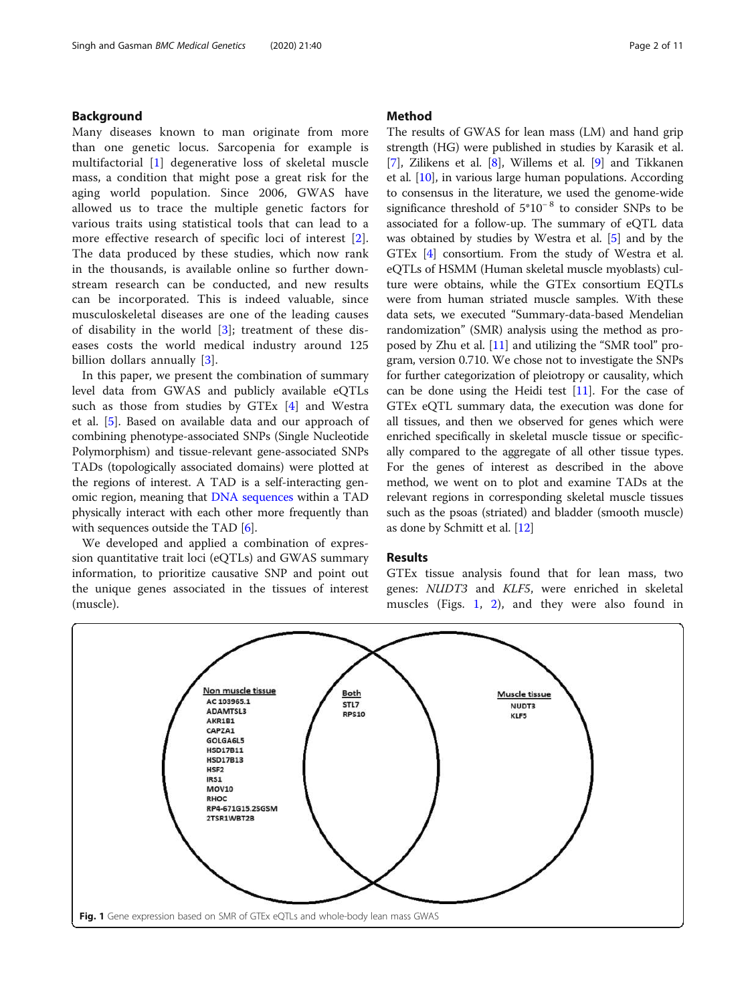## <span id="page-1-0"></span>Background

Many diseases known to man originate from more than one genetic locus. Sarcopenia for example is multifactorial [\[1](#page-9-0)] degenerative loss of skeletal muscle mass, a condition that might pose a great risk for the aging world population. Since 2006, GWAS have allowed us to trace the multiple genetic factors for various traits using statistical tools that can lead to a more effective research of specific loci of interest [\[2](#page-9-0)]. The data produced by these studies, which now rank in the thousands, is available online so further downstream research can be conducted, and new results can be incorporated. This is indeed valuable, since musculoskeletal diseases are one of the leading causes of disability in the world [[3\]](#page-9-0); treatment of these diseases costs the world medical industry around 125 billion dollars annually [\[3](#page-9-0)].

In this paper, we present the combination of summary level data from GWAS and publicly available eQTLs such as those from studies by GTEx [\[4](#page-9-0)] and Westra et al. [\[5\]](#page-9-0). Based on available data and our approach of combining phenotype-associated SNPs (Single Nucleotide Polymorphism) and tissue-relevant gene-associated SNPs TADs (topologically associated domains) were plotted at the regions of interest. A TAD is a self-interacting genomic region, meaning that [DNA sequences](https://en.wikipedia.org/wiki/DNA_sequence) within a TAD physically interact with each other more frequently than with sequences outside the TAD [[6\]](#page-9-0).

We developed and applied a combination of expression quantitative trait loci (eQTLs) and GWAS summary information, to prioritize causative SNP and point out the unique genes associated in the tissues of interest (muscle).

## Method

The results of GWAS for lean mass (LM) and hand grip strength (HG) were published in studies by Karasik et al. [[7\]](#page-9-0), Zilikens et al. [\[8](#page-9-0)], Willems et al. [[9](#page-9-0)] and Tikkanen et al. [\[10\]](#page-9-0), in various large human populations. According to consensus in the literature, we used the genome-wide significance threshold of 5\*10<sup>-8</sup> to consider SNPs to be associated for a follow-up. The summary of eQTL data was obtained by studies by Westra et al. [\[5](#page-9-0)] and by the GTEx [\[4](#page-9-0)] consortium. From the study of Westra et al. eQTLs of HSMM (Human skeletal muscle myoblasts) culture were obtains, while the GTEx consortium EQTLs were from human striated muscle samples. With these data sets, we executed "Summary-data-based Mendelian randomization" (SMR) analysis using the method as proposed by Zhu et al. [\[11\]](#page-9-0) and utilizing the "SMR tool" program, version 0.710. We chose not to investigate the SNPs for further categorization of pleiotropy or causality, which can be done using the Heidi test [\[11\]](#page-9-0). For the case of GTEx eQTL summary data, the execution was done for all tissues, and then we observed for genes which were enriched specifically in skeletal muscle tissue or specifically compared to the aggregate of all other tissue types. For the genes of interest as described in the above method, we went on to plot and examine TADs at the relevant regions in corresponding skeletal muscle tissues such as the psoas (striated) and bladder (smooth muscle) as done by Schmitt et al. [\[12\]](#page-9-0)

## Results

GTEx tissue analysis found that for lean mass, two genes: NUDT3 and KLF5, were enriched in skeletal muscles (Figs. 1, [2\)](#page-2-0), and they were also found in

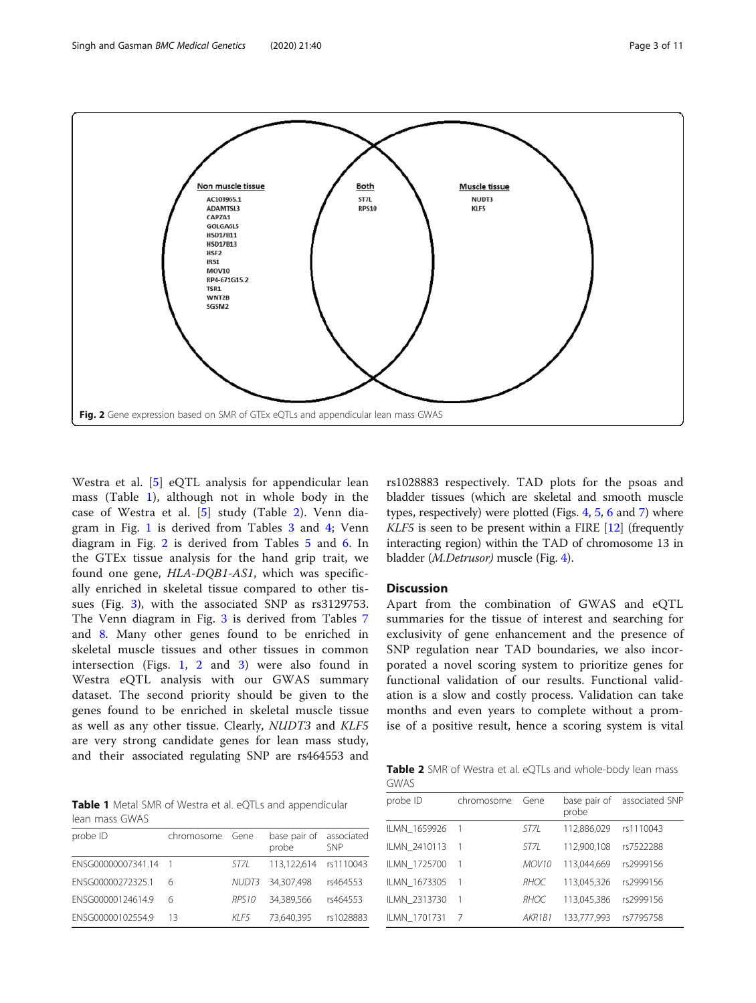<span id="page-2-0"></span>

Westra et al. [\[5](#page-9-0)] eQTL analysis for appendicular lean mass (Table 1), although not in whole body in the case of Westra et al. [\[5](#page-9-0)] study (Table 2). Venn diagram in Fig. [1](#page-1-0) is derived from Tables [3](#page-3-0) and [4](#page-3-0); Venn diagram in Fig. 2 is derived from Tables [5](#page-3-0) and [6.](#page-3-0) In the GTEx tissue analysis for the hand grip trait, we found one gene, HLA-DQB1-AS1, which was specifically enriched in skeletal tissue compared to other tissues (Fig. [3](#page-4-0)), with the associated SNP as rs3129753. The Venn diagram in Fig. [3](#page-4-0) is derived from Tables [7](#page-4-0) and [8](#page-4-0). Many other genes found to be enriched in skeletal muscle tissues and other tissues in common intersection (Figs. [1,](#page-1-0) 2 and [3\)](#page-4-0) were also found in Westra eQTL analysis with our GWAS summary dataset. The second priority should be given to the genes found to be enriched in skeletal muscle tissue as well as any other tissue. Clearly, NUDT3 and KLF5 are very strong candidate genes for lean mass study, and their associated regulating SNP are rs464553 and

Table 1 Metal SMR of Westra et al. eQTLs and appendicular lean mass GWAS

| probe ID           | chromosome Gene |                   | base pair of<br>probe | associated<br><b>SNP</b> |
|--------------------|-----------------|-------------------|-----------------------|--------------------------|
| ENSG00000007341.14 |                 | ST71              | 113.122.614           | rs1110043                |
| ENSG00000272325.1  | 6               |                   | NUDT3 34.307.498      | rs464553                 |
| ENSG00000124614.9  | 6               | RPS <sub>10</sub> | 34.389.566            | rs464553                 |
| ENSG00000102554.9  | 13              | KI F5             | 73.640.395            | rs1028883                |

rs1028883 respectively. TAD plots for the psoas and bladder tissues (which are skeletal and smooth muscle types, respectively) were plotted (Figs. [4,](#page-5-0) [5](#page-6-0), [6](#page-7-0) and [7](#page-8-0)) where KLF5 is seen to be present within a FIRE [[12\]](#page-9-0) (frequently interacting region) within the TAD of chromosome 13 in bladder (M.Detrusor) muscle (Fig. [4\)](#page-5-0).

## **Discussion**

Apart from the combination of GWAS and eQTL summaries for the tissue of interest and searching for exclusivity of gene enhancement and the presence of SNP regulation near TAD boundaries, we also incorporated a novel scoring system to prioritize genes for functional validation of our results. Functional validation is a slow and costly process. Validation can take months and even years to complete without a promise of a positive result, hence a scoring system is vital

Table 2 SMR of Westra et al. eQTLs and whole-body lean mass GWAS

| probe ID     | chromosome | Gene              | base pair of<br>probe | associated SNP |
|--------------|------------|-------------------|-----------------------|----------------|
| ILMN 1659926 |            | ST7L              | 112,886,029           | rs1110043      |
| ILMN 2410113 |            | ST7L              | 112,900,108           | rs7522288      |
| ILMN 1725700 |            | MOV <sub>10</sub> | 113.044.669           | rs2999156      |
| ILMN 1673305 |            | RHOC              | 113,045,326           | rs2999156      |
| ILMN 2313730 | -1         | RHOC              | 113.045.386           | rs2999156      |
| ILMN 1701731 |            | AKR1B1            | 133,777,993           | rs7795758      |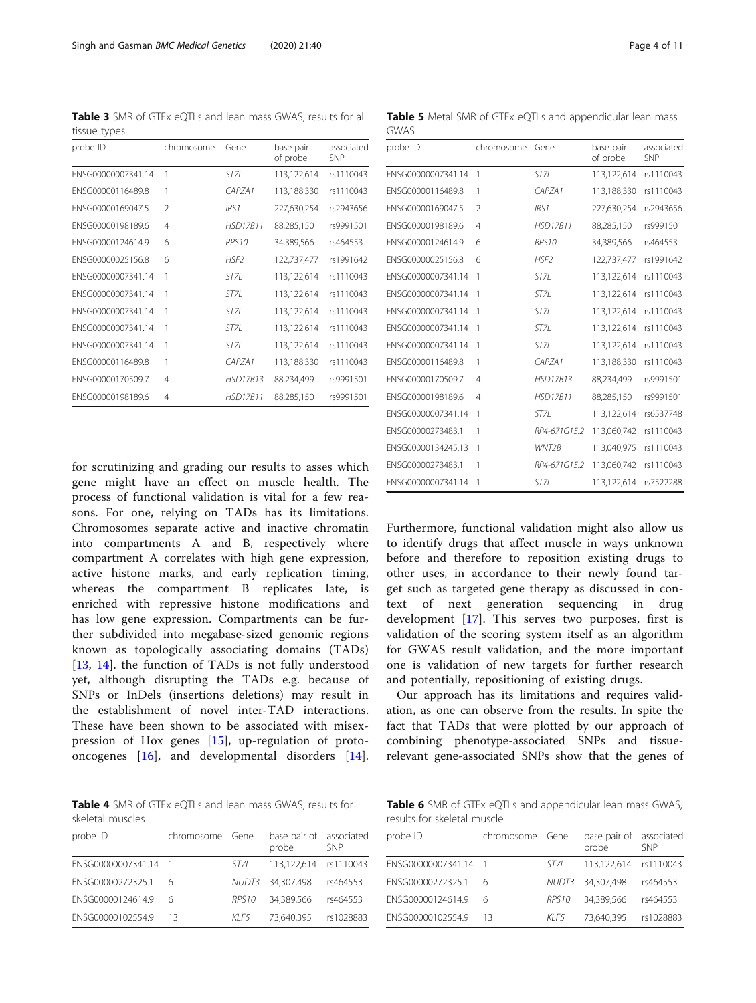for scrutinizing and grading our results to asses which gene might have an effect on muscle health. The process of functional validation is vital for a few reasons. For one, relying on TADs has its limitations. Chromosomes separate active and inactive chromatin into compartments A and B, respectively where compartment A correlates with high gene expression, active histone marks, and early replication timing, whereas the compartment B replicates late, is enriched with repressive histone modifications and has low gene expression. Compartments can be further subdivided into megabase-sized genomic regions known as topologically associating domains (TADs) [[13,](#page-9-0) [14](#page-9-0)]. the function of TADs is not fully understood yet, although disrupting the TADs e.g. because of SNPs or InDels (insertions deletions) may result in the establishment of novel inter-TAD interactions. These have been shown to be associated with misexpression of Hox genes [[15\]](#page-9-0), up-regulation of protooncogenes [\[16](#page-9-0)], and developmental disorders [\[14](#page-9-0)].

<span id="page-3-0"></span>Table 3 SMR of GTEx eQTLs and lean mass GWAS, results for all tissue types

| probe ID           | chromosome               | Gene            | base pair<br>of probe | associated<br><b>SNP</b> |
|--------------------|--------------------------|-----------------|-----------------------|--------------------------|
| ENSG00000007341.14 | 1                        | ST7L            | 113,122,614           | rs1110043                |
| ENSG00000116489.8  | 1                        | CAPZA1          | 113,188,330           | rs1110043                |
| ENSG00000169047.5  | $\overline{\phantom{a}}$ | IRS1            | 227,630,254           | rs2943656                |
| ENSG00000198189.6  | $\overline{4}$           | <b>HSD17B11</b> | 88,285,150            | rs9991501                |
| ENSG00000124614.9  | 6                        | RPS10           | 34,389,566            | rs464553                 |
| FNSG00000025156.8  | 6                        | HSF2            | 122,737,477           | rs1991642                |
| FNSG00000007341.14 | 1                        | ST7L            | 113,122,614           | rs1110043                |
| ENSG00000007341.14 | 1                        | ST71            | 113,122,614           | rs1110043                |
| ENSG00000007341.14 | 1                        | ST7L            | 113,122,614           | rs1110043                |
| ENSG00000007341.14 | 1                        | ST7L            | 113,122,614           | rs1110043                |
| ENSG00000007341.14 | 1                        | ST7L            | 113,122,614           | rs1110043                |
| ENSG00000116489.8  | 1                        | CAPZ41          | 113,188,330           | rs1110043                |
| ENSG00000170509.7  | $\overline{4}$           | <b>HSD17B13</b> | 88,234,499            | rs9991501                |
| ENSG00000198189.6  | $\overline{4}$           | <b>HSD17B11</b> | 88,285,150            | rs9991501                |

Table 4 SMR of GTEx eOTLs and lean mass GWAS, results for skeletal muscles

| probe ID           | chromosome Gene |                   | base pair of associated<br>probe | <b>SNP</b> |
|--------------------|-----------------|-------------------|----------------------------------|------------|
| ENSG00000007341.14 |                 | ST71              | 113.122.614                      | rs1110043  |
| FNSG00000272325.1  |                 | NUDT3             | 34,307,498                       | rs464553   |
| ENSG00000124614.9  |                 | RPS <sub>10</sub> | 34.389.566                       | rs464553   |
| ENSG00000102554.9  | 13              | KI F5             | 73,640,395                       | rs1028883  |

Table 6 SMR of GTEx eQTLs and appendicular lean mass GWAS, results for skeletal muscle

and potentially, repositioning of existing drugs.

Our approach has its limitations and requires validation, as one can observe from the results. In spite the fact that TADs that were plotted by our approach of combining phenotype-associated SNPs and tissuerelevant gene-associated SNPs show that the genes of

| probe ID             | chromosome Gene |                   | base pair of associated<br>probe | <b>SNP</b> |
|----------------------|-----------------|-------------------|----------------------------------|------------|
| ENSG00000007341.14 1 |                 | ST71              | 113.122.614 rs1110043            |            |
| FNSG00000272325.1    |                 |                   | NUDT3 34.307.498                 | rs464553   |
| FNSG00000124614.9    |                 | RPS <sub>10</sub> | 34.389.566                       | rs464553   |
| ENSG00000102554.9    | 13              | KI F5             | 73.640.395                       | rs1028883  |

Table 5 Metal SMR of GTEx eQTLs and appendicular lean mass GWAS

| probe ID           | chromosome     | Gene               | base pair<br>of probe | associated<br><b>SNP</b> |
|--------------------|----------------|--------------------|-----------------------|--------------------------|
| ENSG00000007341.14 | 1              | ST7L               | 113,122,614           | rs1110043                |
| ENSG00000116489.8  | 1              | CAPZA1             | 113,188,330           | rs1110043                |
| ENSG00000169047.5  | $\overline{2}$ | IRS <sub>1</sub>   | 227,630,254           | rs2943656                |
| ENSG00000198189.6  | $\overline{4}$ | <b>HSD17B11</b>    | 88,285,150            | rs9991501                |
| ENSG00000124614.9  | 6              | RPS <sub>10</sub>  | 34,389,566            | rs464553                 |
| ENSG00000025156.8  | 6              | HSF2               | 122,737,477           | rs1991642                |
| ENSG00000007341.14 | 1              | ST7L               | 113,122,614           | rs1110043                |
| ENSG00000007341.14 | 1              | ST7I               | 113,122,614           | rs1110043                |
| ENSG00000007341.14 | 1              | ST7L               | 113,122,614           | rs1110043                |
| ENSG00000007341.14 | 1              | ST7L               | 113,122,614           | rs1110043                |
| ENSG00000007341.14 | 1              | ST7L               | 113,122,614           | rs1110043                |
| ENSG00000116489.8  | 1              | CAPZA1             | 113,188,330           | rs1110043                |
| ENSG00000170509.7  | $\overline{A}$ | <b>HSD17B13</b>    | 88,234,499            | rs9991501                |
| ENSG00000198189.6  | $\overline{4}$ | <b>HSD17B11</b>    | 88,285,150            | rs9991501                |
| ENSG00000007341.14 | 1              | ST7L               | 113,122,614           | rs6537748                |
| ENSG00000273483.1  | 1              | RP4-671G15.2       | 113,060,742           | rs1110043                |
| FNSG00000134245.13 | 1              | WNT <sub>2</sub> B | 113,040,975           | rs1110043                |
| ENSG00000273483.1  | 1              | RP4-671G15.2       | 113,060,742           | rs1110043                |
| ENSG00000007341.14 | 1              | ST7I               | 113,122,614           | rs7522288                |
|                    |                |                    |                       |                          |

Furthermore, functional validation might also allow us to identify drugs that affect muscle in ways unknown before and therefore to reposition existing drugs to other uses, in accordance to their newly found target such as targeted gene therapy as discussed in context of next generation sequencing in drug development [\[17](#page-9-0)]. This serves two purposes, first is validation of the scoring system itself as an algorithm for GWAS result validation, and the more important one is validation of new targets for further research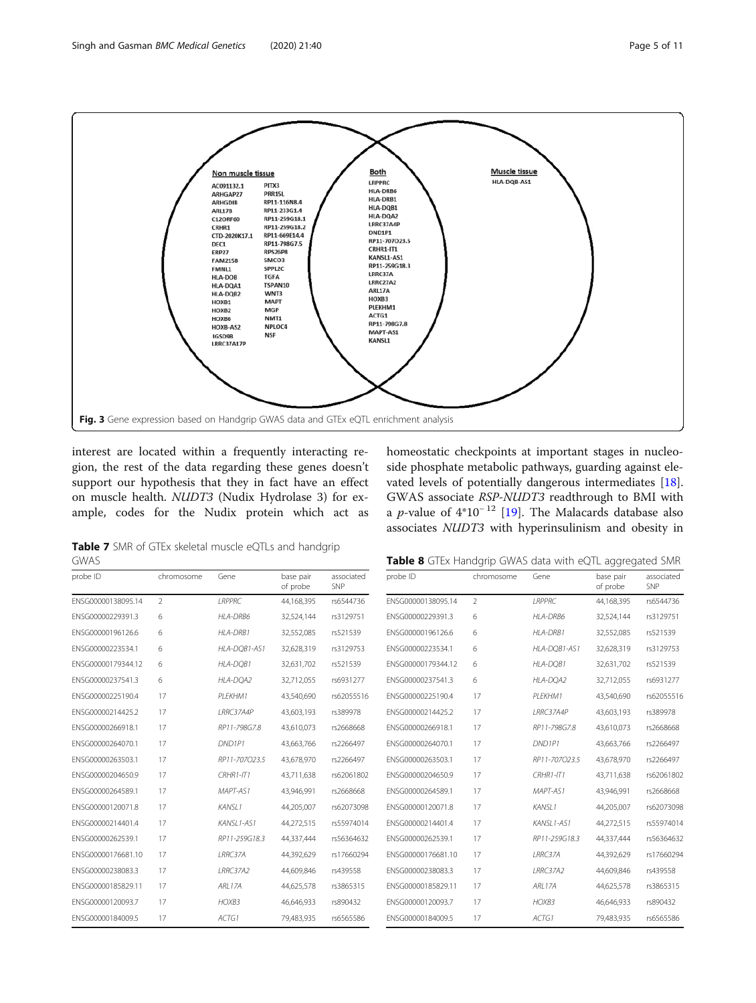<span id="page-4-0"></span>

interest are located within a frequently interacting region, the rest of the data regarding these genes doesn't support our hypothesis that they in fact have an effect on muscle health. NUDT3 (Nudix Hydrolase 3) for example, codes for the Nudix protein which act as homeostatic checkpoints at important stages in nucleoside phosphate metabolic pathways, guarding against elevated levels of potentially dangerous intermediates [\[18](#page-9-0)]. GWAS associate RSP-NUDT3 readthrough to BMI with a *p*-value of  $4*10^{-12}$  [\[19\]](#page-9-0). The Malacards database also associates NUDT3 with hyperinsulinism and obesity in

Table 7 SMR of GTEx skeletal muscle eQTLs and handgrip GWAS

| probe ID           | chromosome     | Gene               | base pair<br>of probe | associated<br>SNP | probe ID           |
|--------------------|----------------|--------------------|-----------------------|-------------------|--------------------|
| ENSG00000138095.14 | $\mathfrak{D}$ | <b>I RPPRC</b>     | 44,168,395            | rs6544736         | ENSG00000138095.14 |
| ENSG00000229391.3  | 6              | HLA-DRB6           | 32,524,144            | rs3129751         | ENSG00000229391.3  |
| ENSG00000196126.6  | 6              | HLA-DRB1           | 32,552,085            | rs521539          | ENSG00000196126.6  |
| ENSG00000223534.1  | 6              | HLA-DOB1-AS1       | 32,628,319            | rs3129753         | ENSG00000223534.1  |
| ENSG00000179344.12 | 6              | HLA-DOB1           | 32,631,702            | rs521539          | ENSG00000179344.12 |
| FNSG00000237541.3  | 6              | HLA-DOA2           | 32.712.055            | rs6931277         | FNSG00000237541.3  |
| ENSG00000225190.4  | 17             | PLEKHM1            | 43.540.690            | rs62055516        | ENSG00000225190.4  |
| ENSG00000214425.2  | 17             | LRRC37A4P          | 43,603,193            | rs389978          | ENSG00000214425.2  |
| ENSG00000266918.1  | 17             | RP11-798G7.8       | 43,610,073            | rs2668668         | ENSG00000266918.1  |
| ENSG00000264070.1  | 17             | DND <sub>1P1</sub> | 43.663.766            | rs2266497         | ENSG00000264070.1  |
| ENSG00000263503.1  | 17             | RP11-707O23.5      | 43,678,970            | rs2266497         | ENSG00000263503.1  |
| ENSG00000204650.9  | 17             | $CRHR1 - IT1$      | 43,711,638            | rs62061802        | ENSG00000204650.9  |
| ENSG00000264589.1  | 17             | MAPT-AS1           | 43,946,991            | rs2668668         | FNSG00000264589.1  |
| ENSG00000120071.8  | 17             | <b>KANSI1</b>      | 44,205,007            | rs62073098        | ENSG00000120071.8  |
| ENSG00000214401.4  | 17             | KANSL1-AS1         | 44,272,515            | rs55974014        | ENSG00000214401.4  |
| ENSG00000262539.1  | 17             | RP11-259G18.3      | 44,337,444            | rs56364632        | ENSG00000262539.1  |
| ENSG00000176681.10 | 17             | LRRC37A            | 44,392,629            | rs17660294        | ENSG00000176681.10 |
| FNSG00000238083.3  | 17             | <b>IRRC37A2</b>    | 44,609,846            | rs439558          | ENSG00000238083.3  |
| ENSG00000185829.11 | 17             | <b>ARI 17A</b>     | 44,625,578            | rs3865315         | FNSG00000185829.11 |
| ENSG00000120093.7  | 17             | HOXB3              | 46,646,933            | rs890432          | ENSG00000120093.7  |
| ENSG00000184009.5  | 17             | ACTGI              | 79,483,935            | rs6565586         | ENSG00000184009.5  |
|                    |                |                    |                       |                   |                    |

| Table 8 GTEx Handgrip GWAS data with eQTL aggregated SMF |  |
|----------------------------------------------------------|--|
|----------------------------------------------------------|--|

| probe ID           | chromosome     | Gene               | base pair<br>of probe | associated<br>SNP |
|--------------------|----------------|--------------------|-----------------------|-------------------|
| ENSG00000138095.14 | $\mathfrak{D}$ | <b>IRPPRC</b>      | 44,168,395            | rs6544736         |
| ENSG00000229391.3  | 6              | HLA-DRB6           | 32,524,144            | rs3129751         |
| ENSG00000196126.6  | 6              | HLA-DRB1           | 32,552,085            | rs521539          |
| ENSG00000223534.1  | 6              | HLA-DOB1-AS1       | 32.628.319            | rs3129753         |
| ENSG00000179344.12 | 6              | HLA-DOB1           | 32,631,702            | rs521539          |
| ENSG00000237541.3  | 6              | HLA-DOA2           | 32,712,055            | rs6931277         |
| ENSG00000225190.4  | 17             | PLEKHM1            | 43,540,690            | rs62055516        |
| ENSG00000214425.2  | 17             | LRRC37A4P          | 43,603,193            | rs389978          |
| ENSG00000266918.1  | 17             | RP11-798G7.8       | 43,610,073            | rs2668668         |
| ENSG00000264070.1  | 17             | DND <sub>1P1</sub> | 43,663,766            | rs2266497         |
| ENSG00000263503.1  | 17             | RP11-707O23.5      | 43,678,970            | rs2266497         |
| ENSG00000204650.9  | 17             | $CRHR1-IT1$        | 43.711.638            | rs62061802        |
| ENSG00000264589.1  | 17             | MAPT-AS1           | 43,946,991            | rs2668668         |
| ENSG00000120071.8  | 17             | KANSI 1            | 44,205,007            | rs62073098        |
| ENSG00000214401.4  | 17             | KANSL1-AS1         | 44,272,515            | rs55974014        |
| ENSG00000262539.1  | 17             | RP11-259G18.3      | 44,337,444            | rs56364632        |
| ENSG00000176681.10 | 17             | LRRC37A            | 44,392,629            | rs17660294        |
| ENSG00000238083.3  | 17             | LRRC37A2           | 44.609.846            | rs439558          |
| ENSG00000185829.11 | 17             | ARL17A             | 44,625,578            | rs3865315         |
| ENSG00000120093.7  | 17             | HOXB <sub>3</sub>  | 46,646,933            | rs890432          |
| ENSG00000184009.5  | 17             | ACTG1              | 79,483,935            | rs6565586         |
|                    |                |                    |                       |                   |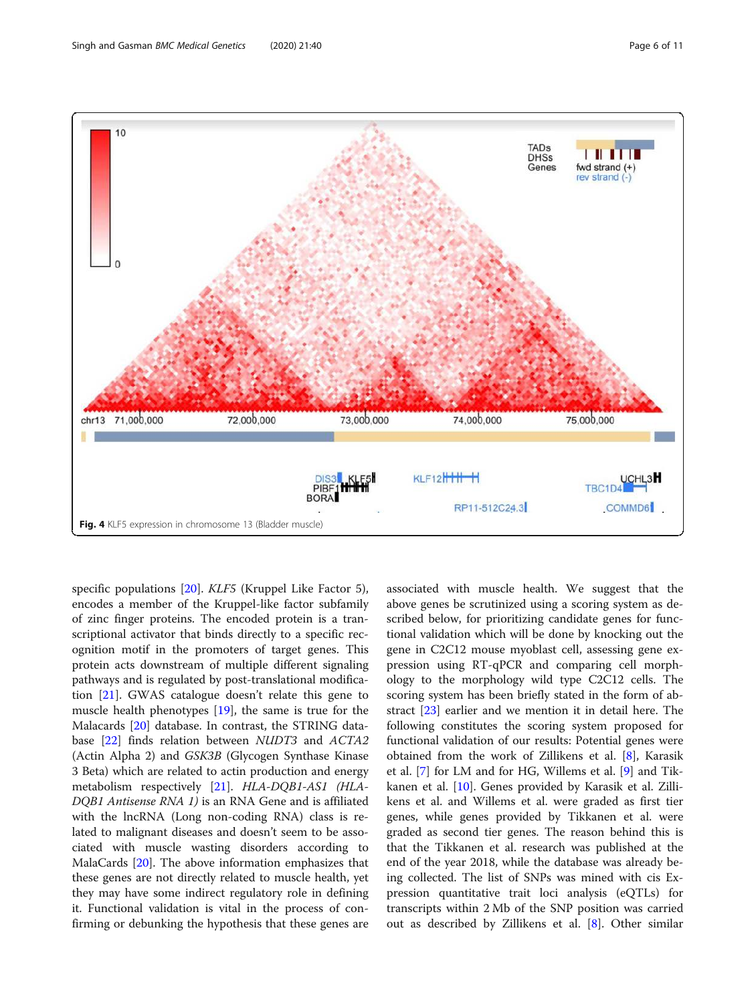<span id="page-5-0"></span>

specific populations [\[20](#page-9-0)]. KLF5 (Kruppel Like Factor 5), encodes a member of the Kruppel-like factor subfamily of zinc finger proteins. The encoded protein is a transcriptional activator that binds directly to a specific recognition motif in the promoters of target genes. This protein acts downstream of multiple different signaling pathways and is regulated by post-translational modification [[21\]](#page-9-0). GWAS catalogue doesn't relate this gene to muscle health phenotypes [\[19](#page-9-0)], the same is true for the Malacards [\[20](#page-9-0)] database. In contrast, the STRING database [[22\]](#page-9-0) finds relation between NUDT3 and ACTA2 (Actin Alpha 2) and GSK3B (Glycogen Synthase Kinase 3 Beta) which are related to actin production and energy metabolism respectively [[21\]](#page-9-0). HLA-DQB1-AS1 (HLA-DQB1 Antisense RNA 1) is an RNA Gene and is affiliated with the lncRNA (Long non-coding RNA) class is related to malignant diseases and doesn't seem to be associated with muscle wasting disorders according to MalaCards [\[20](#page-9-0)]. The above information emphasizes that these genes are not directly related to muscle health, yet they may have some indirect regulatory role in defining it. Functional validation is vital in the process of confirming or debunking the hypothesis that these genes are associated with muscle health. We suggest that the above genes be scrutinized using a scoring system as described below, for prioritizing candidate genes for functional validation which will be done by knocking out the gene in C2C12 mouse myoblast cell, assessing gene expression using RT-qPCR and comparing cell morphology to the morphology wild type C2C12 cells. The scoring system has been briefly stated in the form of abstract [\[23\]](#page-9-0) earlier and we mention it in detail here. The following constitutes the scoring system proposed for functional validation of our results: Potential genes were obtained from the work of Zillikens et al. [\[8](#page-9-0)], Karasik et al. [[7\]](#page-9-0) for LM and for HG, Willems et al. [\[9](#page-9-0)] and Tikkanen et al. [\[10\]](#page-9-0). Genes provided by Karasik et al. Zillikens et al. and Willems et al. were graded as first tier genes, while genes provided by Tikkanen et al. were graded as second tier genes. The reason behind this is that the Tikkanen et al. research was published at the end of the year 2018, while the database was already being collected. The list of SNPs was mined with cis Expression quantitative trait loci analysis (eQTLs) for transcripts within 2 Mb of the SNP position was carried out as described by Zillikens et al. [[8\]](#page-9-0). Other similar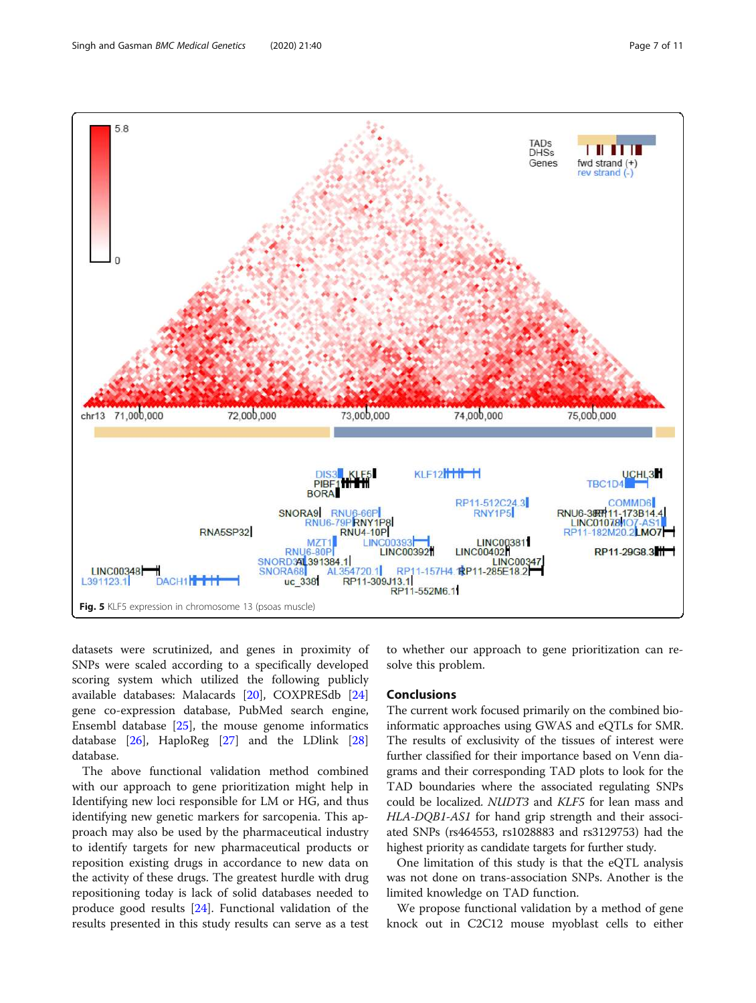<span id="page-6-0"></span>

datasets were scrutinized, and genes in proximity of SNPs were scaled according to a specifically developed scoring system which utilized the following publicly available databases: Malacards [\[20](#page-9-0)], COXPRESdb [[24](#page-9-0)] gene co-expression database, PubMed search engine, Ensembl database  $[25]$  $[25]$ , the mouse genome informatics database [\[26](#page-10-0)], HaploReg [\[27](#page-10-0)] and the LDlink [[28](#page-10-0)] database.

The above functional validation method combined with our approach to gene prioritization might help in Identifying new loci responsible for LM or HG, and thus identifying new genetic markers for sarcopenia. This approach may also be used by the pharmaceutical industry to identify targets for new pharmaceutical products or reposition existing drugs in accordance to new data on the activity of these drugs. The greatest hurdle with drug repositioning today is lack of solid databases needed to produce good results [\[24](#page-9-0)]. Functional validation of the results presented in this study results can serve as a test to whether our approach to gene prioritization can resolve this problem.

### Conclusions

The current work focused primarily on the combined bioinformatic approaches using GWAS and eQTLs for SMR. The results of exclusivity of the tissues of interest were further classified for their importance based on Venn diagrams and their corresponding TAD plots to look for the TAD boundaries where the associated regulating SNPs could be localized. NUDT3 and KLF5 for lean mass and HLA-DQB1-AS1 for hand grip strength and their associated SNPs (rs464553, rs1028883 and rs3129753) had the highest priority as candidate targets for further study.

One limitation of this study is that the eQTL analysis was not done on trans-association SNPs. Another is the limited knowledge on TAD function.

We propose functional validation by a method of gene knock out in C2C12 mouse myoblast cells to either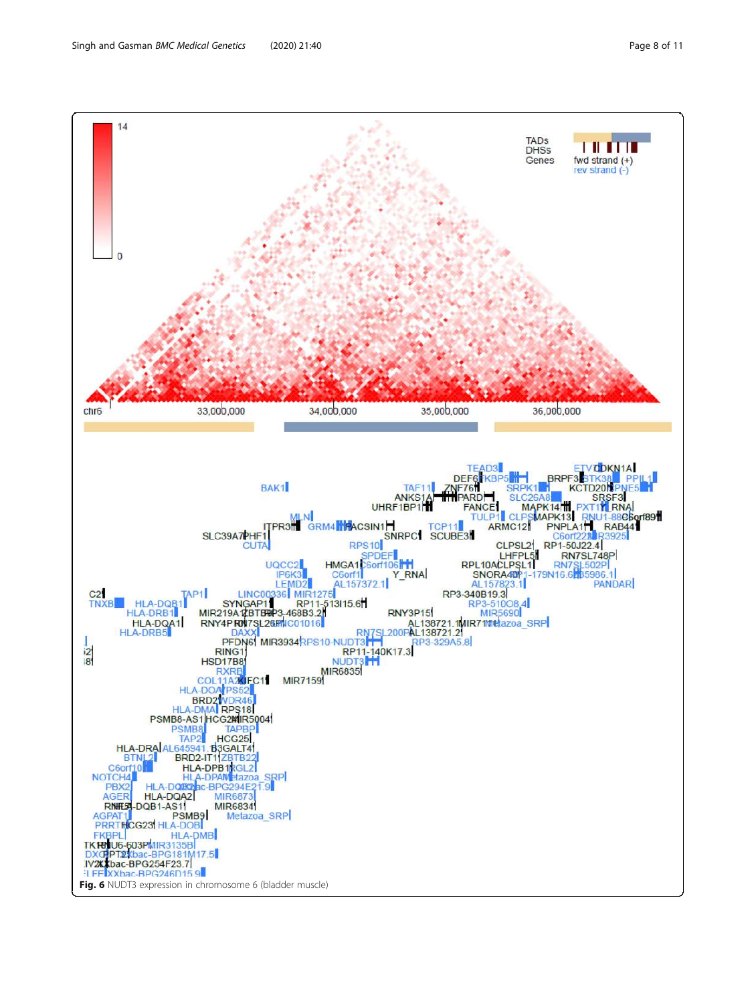<span id="page-7-0"></span>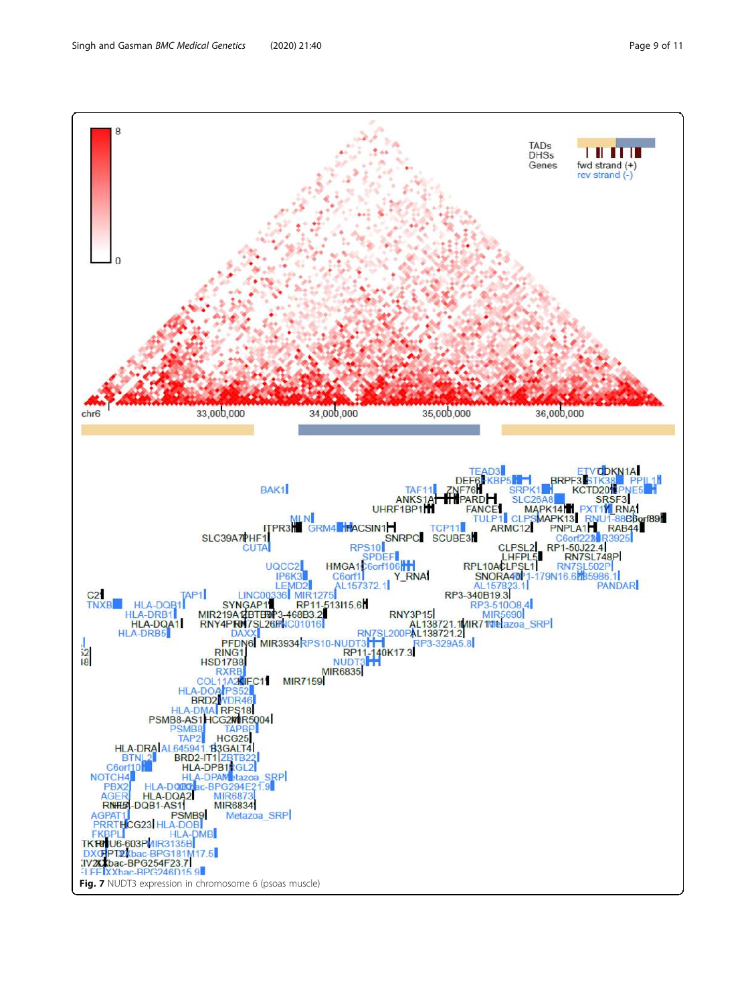<span id="page-8-0"></span>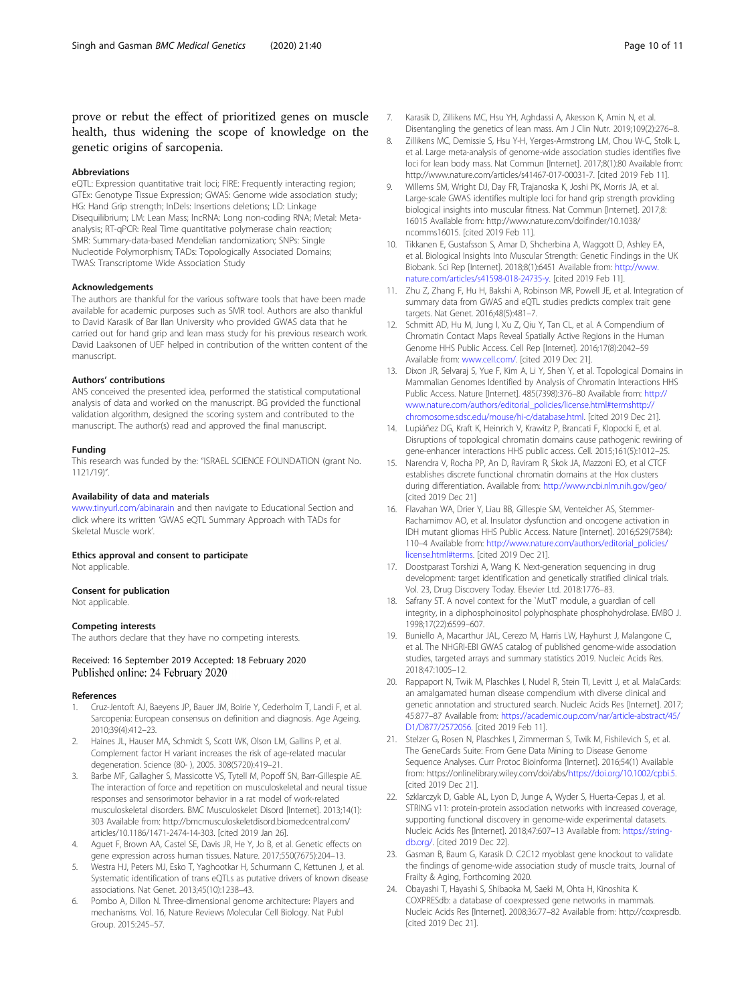<span id="page-9-0"></span>prove or rebut the effect of prioritized genes on muscle health, thus widening the scope of knowledge on the genetic origins of sarcopenia.

#### Abbreviations

eQTL: Expression quantitative trait loci; FIRE: Frequently interacting region; GTEx: Genotype Tissue Expression; GWAS: Genome wide association study; HG: Hand Grip strength; InDels: Insertions deletions; LD: Linkage Disequilibrium; LM: Lean Mass; lncRNA: Long non-coding RNA; Metal: Metaanalysis; RT-qPCR: Real Time quantitative polymerase chain reaction; SMR: Summary-data-based Mendelian randomization; SNPs: Single Nucleotide Polymorphism; TADs: Topologically Associated Domains; TWAS: Transcriptome Wide Association Study

#### Acknowledgements

The authors are thankful for the various software tools that have been made available for academic purposes such as SMR tool. Authors are also thankful to David Karasik of Bar Ilan University who provided GWAS data that he carried out for hand grip and lean mass study for his previous research work. David Laaksonen of UEF helped in contribution of the written content of the manuscript.

#### Authors' contributions

ANS conceived the presented idea, performed the statistical computational analysis of data and worked on the manuscript. BG provided the functional validation algorithm, designed the scoring system and contributed to the manuscript. The author(s) read and approved the final manuscript.

#### Funding

This research was funded by the: "ISRAEL SCIENCE FOUNDATION (grant No. 1121/19)".

#### Availability of data and materials

[www.tinyurl.com/abinarain](http://www.tinyurl.com/abinarain) and then navigate to Educational Section and click where its written 'GWAS eQTL Summary Approach with TADs for Skeletal Muscle work'.

#### Ethics approval and consent to participate

Not applicable

#### Consent for publication

Not applicable.

#### Competing interests

The authors declare that they have no competing interests.

#### Received: 16 September 2019 Accepted: 18 February 2020 Published online: 24 February 2020

#### References

- Cruz-Jentoft AJ, Baeyens JP, Bauer JM, Boirie Y, Cederholm T, Landi F, et al. Sarcopenia: European consensus on definition and diagnosis. Age Ageing. 2010;39(4):412–23.
- 2. Haines JL, Hauser MA, Schmidt S, Scott WK, Olson LM, Gallins P, et al. Complement factor H variant increases the risk of age-related macular degeneration. Science (80- ), 2005. 308(5720):419–21.
- Barbe MF, Gallagher S, Massicotte VS, Tytell M, Popoff SN, Barr-Gillespie AE. The interaction of force and repetition on musculoskeletal and neural tissue responses and sensorimotor behavior in a rat model of work-related musculoskeletal disorders. BMC Musculoskelet Disord [Internet]. 2013;14(1): 303 Available from: http://bmcmusculoskeletdisord.biomedcentral.com/ articles/10.1186/1471-2474-14-303. [cited 2019 Jan 26].
- 4. Aguet F, Brown AA, Castel SE, Davis JR, He Y, Jo B, et al. Genetic effects on gene expression across human tissues. Nature. 2017;550(7675):204–13.
- 5. Westra HJ, Peters MJ, Esko T, Yaghootkar H, Schurmann C, Kettunen J, et al. Systematic identification of trans eQTLs as putative drivers of known disease associations. Nat Genet. 2013;45(10):1238–43.
- 6. Pombo A, Dillon N. Three-dimensional genome architecture: Players and mechanisms. Vol. 16, Nature Reviews Molecular Cell Biology. Nat Publ Group. 2015:245–57.
- 7. Karasik D, Zillikens MC, Hsu YH, Aghdassi A, Akesson K, Amin N, et al. Disentangling the genetics of lean mass. Am J Clin Nutr. 2019;109(2):276–8.
- 8. Zillikens MC, Demissie S, Hsu Y-H, Yerges-Armstrong LM, Chou W-C, Stolk L, et al. Large meta-analysis of genome-wide association studies identifies five loci for lean body mass. Nat Commun [Internet]. 2017;8(1):80 Available from: http://www.nature.com/articles/s41467-017-00031-7. [cited 2019 Feb 11].
- 9. Willems SM, Wright DJ, Day FR, Trajanoska K, Joshi PK, Morris JA, et al. Large-scale GWAS identifies multiple loci for hand grip strength providing biological insights into muscular fitness. Nat Commun [Internet]. 2017;8: 16015 Available from: http://www.nature.com/doifinder/10.1038/ ncomms16015. [cited 2019 Feb 11].
- 10. Tikkanen E, Gustafsson S, Amar D, Shcherbina A, Waggott D, Ashley EA, et al. Biological Insights Into Muscular Strength: Genetic Findings in the UK Biobank. Sci Rep [Internet]. 2018;8(1):6451 Available from: [http://www.](http://www.nature.com/articles/s41598-018-24735-y) [nature.com/articles/s41598-018-24735-y.](http://www.nature.com/articles/s41598-018-24735-y) [cited 2019 Feb 11].
- 11. Zhu Z, Zhang F, Hu H, Bakshi A, Robinson MR, Powell JE, et al. Integration of summary data from GWAS and eQTL studies predicts complex trait gene targets. Nat Genet. 2016;48(5):481–7.
- 12. Schmitt AD, Hu M, Jung I, Xu Z, Qiu Y, Tan CL, et al. A Compendium of Chromatin Contact Maps Reveal Spatially Active Regions in the Human Genome HHS Public Access. Cell Rep [Internet]. 2016;17(8):2042–59 Available from: [www.cell.com/](http://www.cell.com/). [cited 2019 Dec 21].
- 13. Dixon JR, Selvaraj S, Yue F, Kim A, Li Y, Shen Y, et al. Topological Domains in Mammalian Genomes Identified by Analysis of Chromatin Interactions HHS Public Access. Nature [Internet]. 485(7398):376–80 Available from: [http://](http://www.nature.com/authors/editorial_policies/license.html#terms) [www.nature.com/authors/editorial\\_policies/license.html#termshttp://](http://www.nature.com/authors/editorial_policies/license.html#terms) [chromosome.sdsc.edu/mouse/hi-c/database.html](http://www.nature.com/authors/editorial_policies/license.html#terms). [cited 2019 Dec 21].
- 14. Lupiáñez DG, Kraft K, Heinrich V, Krawitz P, Brancati F, Klopocki E, et al. Disruptions of topological chromatin domains cause pathogenic rewiring of gene-enhancer interactions HHS public access. Cell. 2015;161(5):1012–25.
- 15. Narendra V, Rocha PP, An D, Raviram R, Skok JA, Mazzoni EO, et al CTCF establishes discrete functional chromatin domains at the Hox clusters during differentiation. Available from: <http://www.ncbi.nlm.nih.gov/geo/> [cited 2019 Dec 21]
- 16. Flavahan WA, Drier Y, Liau BB, Gillespie SM, Venteicher AS, Stemmer-Rachamimov AO, et al. Insulator dysfunction and oncogene activation in IDH mutant gliomas HHS Public Access. Nature [Internet]. 2016;529(7584): 110–4 Available from: [http://www.nature.com/authors/editorial\\_policies/](http://www.nature.com/authors/editorial_policies/license.html#terms) [license.html#terms.](http://www.nature.com/authors/editorial_policies/license.html#terms) [cited 2019 Dec 21].
- 17. Doostparast Torshizi A, Wang K. Next-generation sequencing in drug development: target identification and genetically stratified clinical trials. Vol. 23, Drug Discovery Today. Elsevier Ltd. 2018:1776–83.
- 18. Safrany ST. A novel context for the `MutT' module, a guardian of cell integrity, in a diphosphoinositol polyphosphate phosphohydrolase. EMBO J. 1998;17(22):6599–607.
- 19. Buniello A, Macarthur JAL, Cerezo M, Harris LW, Hayhurst J, Malangone C, et al. The NHGRI-EBI GWAS catalog of published genome-wide association studies, targeted arrays and summary statistics 2019. Nucleic Acids Res. 2018;47:1005–12.
- 20. Rappaport N, Twik M, Plaschkes I, Nudel R, Stein TI, Levitt J, et al. MalaCards: an amalgamated human disease compendium with diverse clinical and genetic annotation and structured search. Nucleic Acids Res [Internet]. 2017; 45:877–87 Available from: [https://academic.oup.com/nar/article-abstract/45/](https://academic.oup.com/nar/article-abstract/45/D1/D877/2572056) [D1/D877/2572056](https://academic.oup.com/nar/article-abstract/45/D1/D877/2572056). [cited 2019 Feb 11].
- 21. Stelzer G, Rosen N, Plaschkes I, Zimmerman S, Twik M, Fishilevich S, et al. The GeneCards Suite: From Gene Data Mining to Disease Genome Sequence Analyses. Curr Protoc Bioinforma [Internet]. 2016;54(1) Available from: https://onlinelibrary.wiley.com/doi/abs/<https://doi.org/10.1002/cpbi.5>. [cited 2019 Dec 21].
- 22. Szklarczyk D, Gable AL, Lyon D, Junge A, Wyder S, Huerta-Cepas J, et al. STRING v11: protein-protein association networks with increased coverage, supporting functional discovery in genome-wide experimental datasets. Nucleic Acids Res [Internet]. 2018;47:607–13 Available from: [https://string](https://string-db.org/)[db.org/.](https://string-db.org/) [cited 2019 Dec 22].
- 23. Gasman B, Baum G, Karasik D. C2C12 myoblast gene knockout to validate the findings of genome-wide association study of muscle traits, Journal of Frailty & Aging, Forthcoming 2020.
- 24. Obayashi T, Hayashi S, Shibaoka M, Saeki M, Ohta H, Kinoshita K. COXPRESdb: a database of coexpressed gene networks in mammals. Nucleic Acids Res [Internet]. 2008;36:77–82 Available from: http://coxpresdb. [cited 2019 Dec 21].